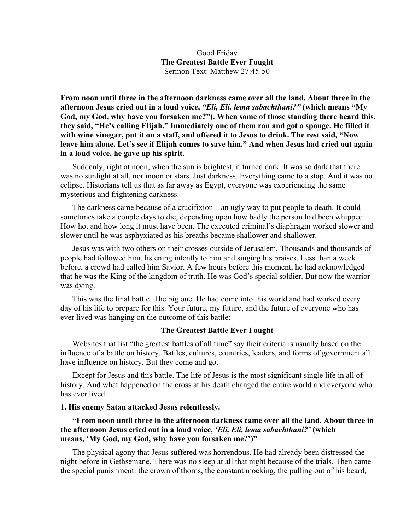## Good Friday **The Greatest Battle Ever Fought** Sermon Text: Matthew 27:45-50

**From noon until three in the afternoon darkness came over all the land. About three in the afternoon Jesus cried out in a loud voice,** *"Eli, Eli, lema sabachthani?"* **(which means "My God, my God, why have you forsaken me?"). When some of those standing there heard this, they said, "He's calling Elijah." Immediately one of them ran and got a sponge. He filled it with wine vinegar, put it on a staff, and offered it to Jesus to drink. The rest said, "Now leave him alone. Let's see if Elijah comes to save him." And when Jesus had cried out again in a loud voice, he gave up his spirit**.

Suddenly, right at noon, when the sun is brightest, it turned dark. It was so dark that there was no sunlight at all, nor moon or stars. Just darkness. Everything came to a stop. And it was no eclipse. Historians tell us that as far away as Egypt, everyone was experiencing the same mysterious and frightening darkness.

The darkness came because of a crucifixion—an ugly way to put people to death. It could sometimes take a couple days to die, depending upon how badly the person had been whipped. How hot and how long it must have been. The executed criminal's diaphragm worked slower and slower until he was asphyxiated as his breaths became shallower and shallower.

Jesus was with two others on their crosses outside of Jerusalem. Thousands and thousands of people had followed him, listening intently to him and singing his praises. Less than a week before, a crowd had called him Savior. A few hours before this moment, he had acknowledged that he was the King of the kingdom of truth. He was God's special soldier. But now the warrior was dying.

This was the final battle. The big one. He had come into this world and had worked every day of his life to prepare for this. Your future, my future, and the future of everyone who has ever lived was hanging on the outcome of this battle:

### **The Greatest Battle Ever Fought**

Websites that list "the greatest battles of all time" say their criteria is usually based on the influence of a battle on history. Battles, cultures, countries, leaders, and forms of government all have influence on history. But they come and go.

Except for Jesus and this battle. The life of Jesus is the most significant single life in all of history. And what happened on the cross at his death changed the entire world and everyone who has ever lived.

### **1. His enemy Satan attacked Jesus relentlessly.**

## **"From noon until three in the afternoon darkness came over all the land. About three in the afternoon Jesus cried out in a loud voice,** *'Eli, Eli, lema sabachthani?'* **(which means, 'My God, my God, why have you forsaken me?')"**

The physical agony that Jesus suffered was horrendous. He had already been distressed the night before in Gethsemane. There was no sleep at all that night because of the trials. Then came the special punishment: the crown of thorns, the constant mocking, the pulling out of his beard,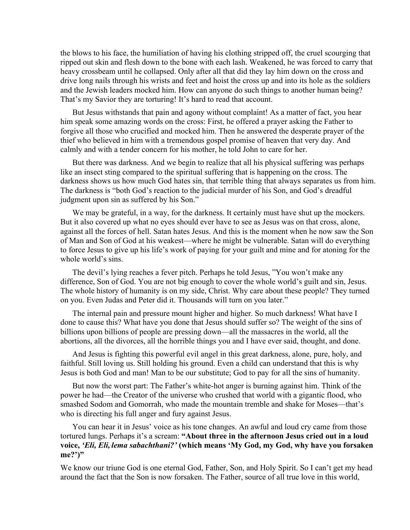the blows to his face, the humiliation of having his clothing stripped off, the cruel scourging that ripped out skin and flesh down to the bone with each lash. Weakened, he was forced to carry that heavy crossbeam until he collapsed. Only after all that did they lay him down on the cross and drive long nails through his wrists and feet and hoist the cross up and into its hole as the soldiers and the Jewish leaders mocked him. How can anyone do such things to another human being? That's my Savior they are torturing! It's hard to read that account.

But Jesus withstands that pain and agony without complaint! As a matter of fact, you hear him speak some amazing words on the cross: First, he offered a prayer asking the Father to forgive all those who crucified and mocked him. Then he answered the desperate prayer of the thief who believed in him with a tremendous gospel promise of heaven that very day. And calmly and with a tender concern for his mother, he told John to care for her.

But there was darkness. And we begin to realize that all his physical suffering was perhaps like an insect sting compared to the spiritual suffering that is happening on the cross. The darkness shows us how much God hates sin, that terrible thing that always separates us from him. The darkness is "both God's reaction to the judicial murder of his Son, and God's dreadful judgment upon sin as suffered by his Son."

We may be grateful, in a way, for the darkness. It certainly must have shut up the mockers. But it also covered up what no eyes should ever have to see as Jesus was on that cross, alone, against all the forces of hell. Satan hates Jesus. And this is the moment when he now saw the Son of Man and Son of God at his weakest—where he might be vulnerable. Satan will do everything to force Jesus to give up his life's work of paying for your guilt and mine and for atoning for the whole world's sins.

The devil's lying reaches a fever pitch. Perhaps he told Jesus, "You won't make any difference, Son of God. You are not big enough to cover the whole world's guilt and sin, Jesus. The whole history of humanity is on my side, Christ. Why care about these people? They turned on you. Even Judas and Peter did it. Thousands will turn on you later."

The internal pain and pressure mount higher and higher. So much darkness! What have I done to cause this? What have you done that Jesus should suffer so? The weight of the sins of billions upon billions of people are pressing down—all the massacres in the world, all the abortions, all the divorces, all the horrible things you and I have ever said, thought, and done.

And Jesus is fighting this powerful evil angel in this great darkness, alone, pure, holy, and faithful. Still loving us. Still holding his ground. Even a child can understand that this is why Jesus is both God and man! Man to be our substitute; God to pay for all the sins of humanity.

But now the worst part: The Father's white-hot anger is burning against him. Think of the power he had—the Creator of the universe who crushed that world with a gigantic flood, who smashed Sodom and Gomorrah, who made the mountain tremble and shake for Moses—that's who is directing his full anger and fury against Jesus.

You can hear it in Jesus' voice as his tone changes. An awful and loud cry came from those tortured lungs. Perhaps it's a scream: **"About three in the afternoon Jesus cried out in a loud voice,** *'Eli, Eli, lema sabachthani?'* **(which means 'My God, my God, why have you forsaken me?')"**

We know our triune God is one eternal God, Father, Son, and Holy Spirit. So I can't get my head around the fact that the Son is now forsaken. The Father, source of all true love in this world,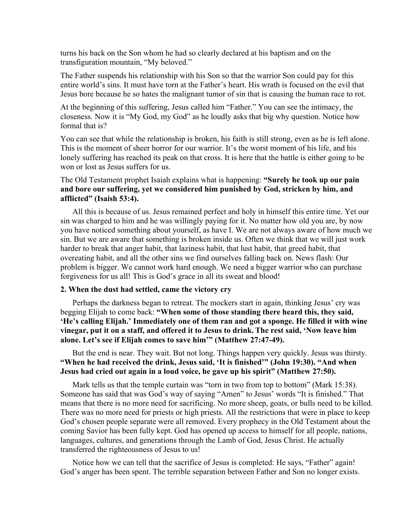turns his back on the Son whom he had so clearly declared at his baptism and on the transfiguration mountain, "My beloved."

The Father suspends his relationship with his Son so that the warrior Son could pay for this entire world's sins. It must have torn at the Father's heart. His wrath is focused on the evil that Jesus bore because he so hates the malignant tumor of sin that is causing the human race to rot.

At the beginning of this suffering, Jesus called him "Father." You can see the intimacy, the closeness. Now it is "My God, my God" as he loudly asks that big why question. Notice how formal that is?

You can see that while the relationship is broken, his faith is still strong, even as he is left alone. This is the moment of sheer horror for our warrior. It's the worst moment of his life, and his lonely suffering has reached its peak on that cross. It is here that the battle is either going to be won or lost as Jesus suffers for us.

# The Old Testament prophet Isaiah explains what is happening: **"Surely he took up our pain and bore our suffering, yet we considered him punished by God, stricken by him, and afflicted" (Isaish 53:4).**

All this is because of us. Jesus remained perfect and holy in himself this entire time. Yet our sin was charged to him and he was willingly paying for it. No matter how old you are, by now you have noticed something about yourself, as have I. We are not always aware of how much we sin. But we are aware that something is broken inside us. Often we think that we will just work harder to break that anger habit, that laziness habit, that lust habit, that greed habit, that overeating habit, and all the other sins we find ourselves falling back on. News flash: Our problem is bigger. We cannot work hard enough. We need a bigger warrior who can purchase forgiveness for us all! This is God's grace in all its sweat and blood!

### **2. When the dust had settled, came the victory cry**

Perhaps the darkness began to retreat. The mockers start in again, thinking Jesus' cry was begging Elijah to come back: **"When some of those standing there heard this, they said, 'He's calling Elijah.' Immediately one of them ran and got a sponge. He filled it with wine vinegar, put it on a staff, and offered it to Jesus to drink.The rest said, 'Now leave him alone. Let's see if Elijah comes to save him'" (Matthew 27:47-49).**

# But the end is near. They wait. But not long. Things happen very quickly. Jesus was thirsty. **"When he had received the drink, Jesus said, 'It is finished'" (John 19:30). "And when Jesus had cried out again in a loud voice, he gave up his spirit" (Matthew 27:50).**

Mark tells us that the temple curtain was "torn in two from top to bottom" (Mark 15:38). Someone has said that was God's way of saying "Amen" to Jesus' words "It is finished." That means that there is no more need for sacrificing. No more sheep, goats, or bulls need to be killed. There was no more need for priests or high priests. All the restrictions that were in place to keep God's chosen people separate were all removed. Every prophecy in the Old Testament about the coming Savior has been fully kept. God has opened up access to himself for all people, nations, languages, cultures, and generations through the Lamb of God, Jesus Christ. He actually transferred the righteousness of Jesus to us!

Notice how we can tell that the sacrifice of Jesus is completed: He says, "Father" again! God's anger has been spent. The terrible separation between Father and Son no longer exists.